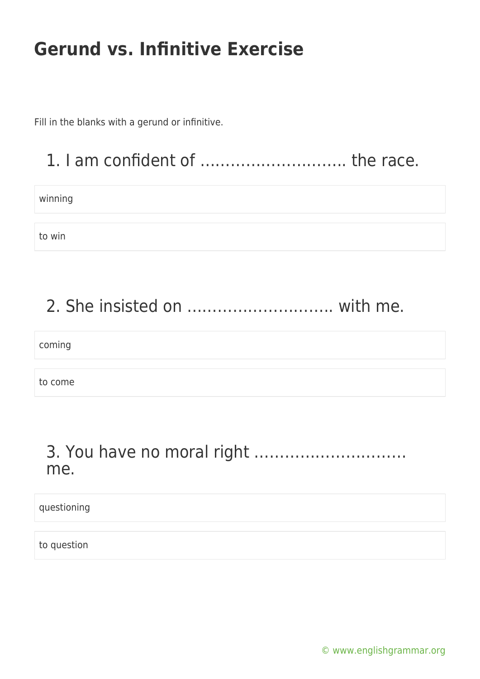Fill in the blanks with a gerund or infinitive.

### 1. I am confident of ……………………….. the race.

winning

to win

#### 2. She insisted on ……………………….. with me.

coming

to come

#### 3. You have no moral right ………………………… me.

questioning

to question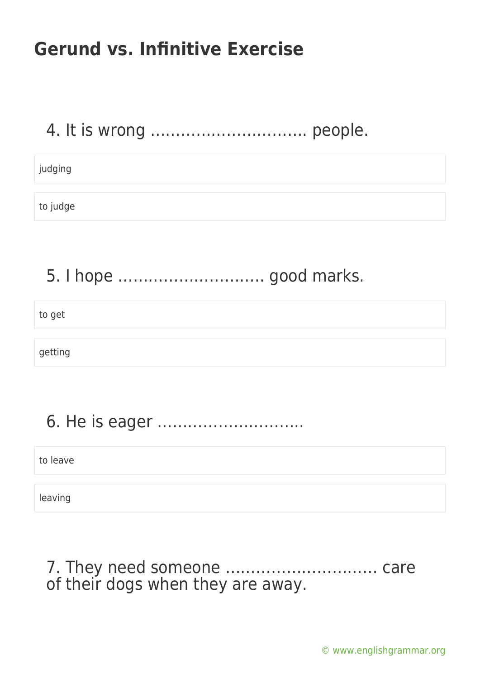### 4. It is wrong …………………………. people.

judging

to judge

5. I hope ……………………….. good marks.

to get

getting

# 6. He is eager ………………………..

to leave

leaving

7. They need someone ………………………… care of their dogs when they are away.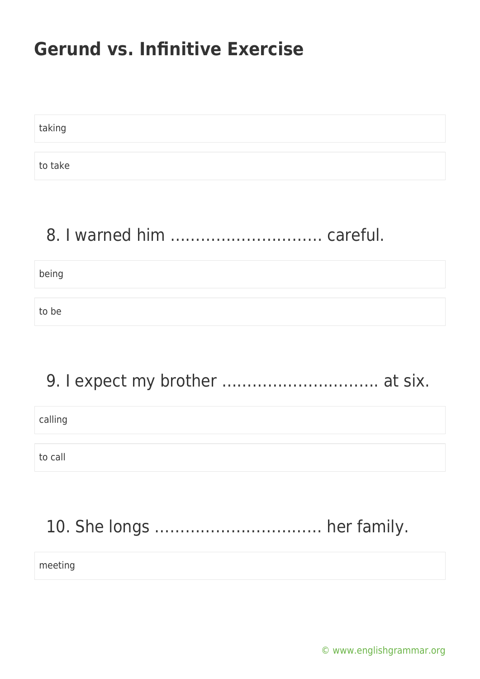taking to take

#### 8. I warned him ………………………… careful.

being

to be

#### 9. I expect my brother ............................... at six.

calling

to call

# 10. She longs …………………………… her family.

meeting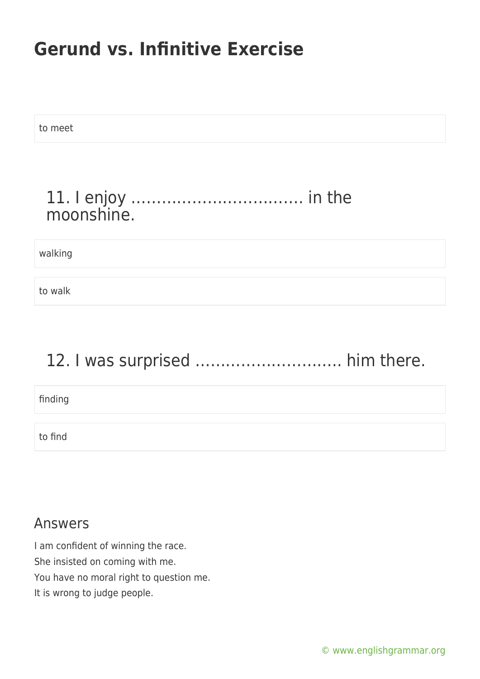to meet

#### 11. I enjoy ……………………………. in the moonshine.

walking

to walk

### 12. I was surprised ................................ him there.

finding

to find

#### Answers

I am confident of winning the race. She insisted on coming with me. You have no moral right to question me. It is wrong to judge people.